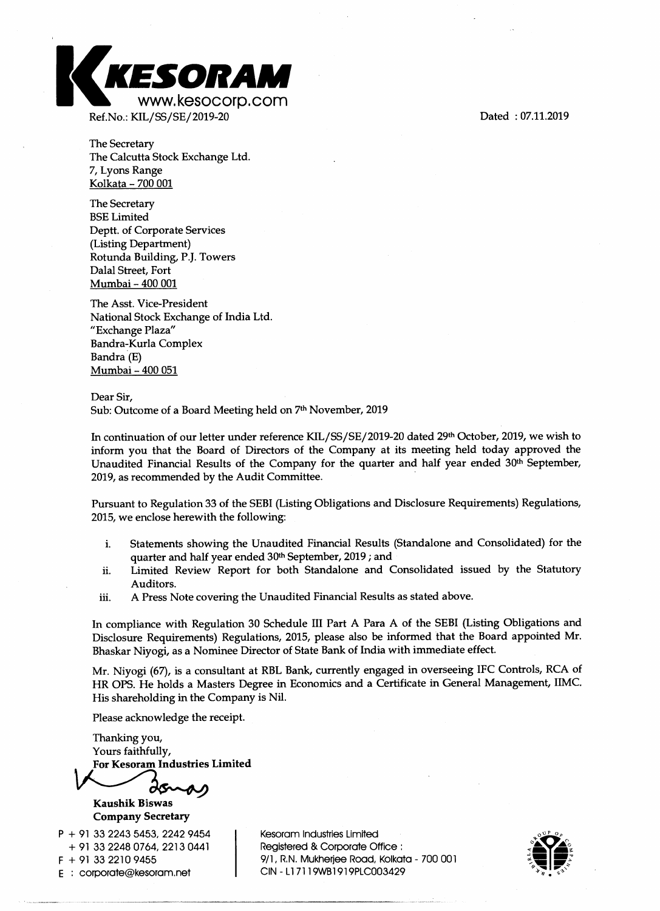

The Secretary The Calcutta Stock Exchange Ltd. 7, Lyons Range Kolkata - 700 001

The Secretary BSE Limited Deptt. of Corporate Services (Listing Department) Rotunda Building, P.J. Towers Dalal Street, Fort Mumbai - 400 001

The Asst. Vice-President National Stock Exchange of India Ltd. "Exchange Plaza" Bandra-Kurla Complex Bandra (E) Mumbai - 400 051

Dear Sir, Sub: Outcome of a Board Meeting held on 7<sup>th</sup> November, 2019

In continuation of our letter under reference KIL/SS/SE/2019-20 dated 29th October, 2019, we wish to inform you that the Board of Directors of the Company at its meeting held today approved the Unaudited Financial Results of the Company for the quarter and half year ended 30th September, 2019, as recommended by the Audit Committee.

Pursuant to Regulation 33 of the SEBI (Listing Obligations and Disclosure Requirements) Regulations, 2015, we enclose herewith the following:

- i. Statements showing the Unaudited Financial Results (Standalone and Consolidated) for the quarter and half year ended 30th September, 2019 ; and
- ii. Limited Review Report for both Standalone and Consolidated issued by the Statutory Auditors.
- iii. A Press Note covering the Unaudited Financial Results as stated above.

In compliance with Regulation 30 Schedule III Part A Para A of the SEBI (Listing Obligations and Disclosure Requirements) Regulations, 2015, please also be informed that the Board appointed Mr. Bhaskar Niyogi, as a Nominee Director of State Bank of India with immediate effect.

Mr. Niyogi (67), is a consultant at RBL Bank, currently engaged in overseeing IFC Controls, RCA of HR OPS. He holds a Masters Degree in Economics and a Certificate in General Management, IIMC. His shareholding in the Company is Nil.

Please acknowledge the receipt.

Thanking you, Yours faithfully, **For Kesoram Industries Limited** 

**Kaushik Biswas Company Secretary** 

**P +** 91 33 2243 5453, 2242 9454 + 91 33 2248 0764, 2213 0441  $F + 91$  33 2210 9455

E : corporate@kesoram.net

Kesoram Industries Limited Registered & Corporate Office : 9/1, R.N. Mukherjee Road, Kolkata - 700 001 CIN - Ll 7119WB1919PLC003429

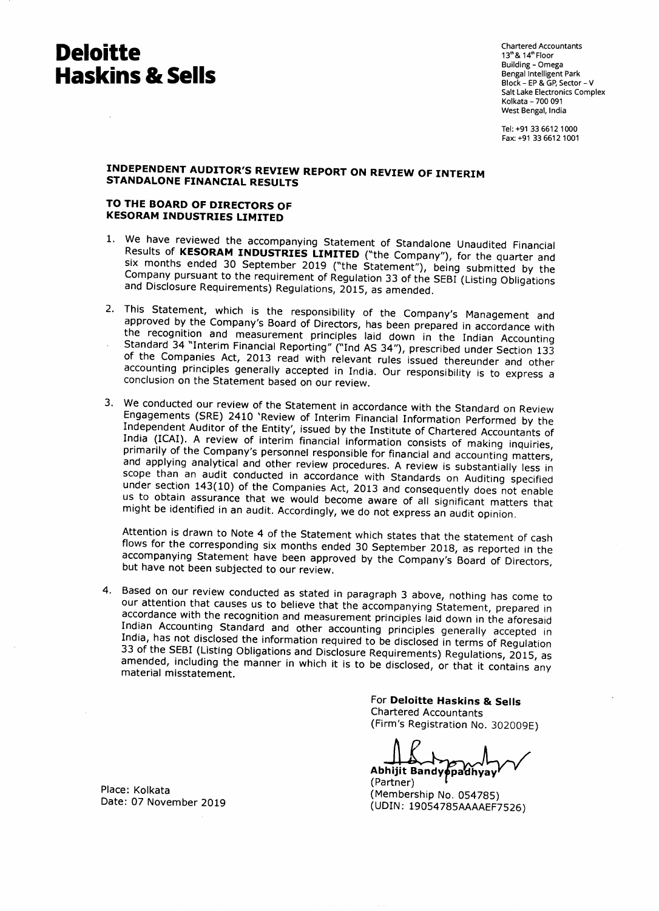# **Deloitte Haskins & Sells**

Chartered Accountants 13<sup>th</sup> & 14<sup>th</sup> Floor Building - Omega Bengal Intelligent Park Block - EP & GP, Sector - V Salt Lake Electronics Complex Kolkata - 700 091 West Bengal, India

Tel: +91 33 6612 1000 Fax: +91 33 6612 1001

## **INDEPENDENT AUDITOR'S REVIEW REPORT ON REVIEW OF INTERIM STANDALONE FINANCIAL RESULTS**

### **TO THE BOARD OF DIRECTORS OF KESORAM INDUSTRIES LIMITED**

- 1. We have reviewed the accompanying Statement of Standalone Unaudited Financial Results of **KESORAM INDUSTRIES LIMITED** ("the Company"), for the quarter and six months ended 30 September 2019 ("the Statement"), being submitted by the Company pursuant to the requirement of Regulation 33 of the SEBI (Listing Obligations and Disclosure Requirements) Regulations, 2015, as amended.
- 2. This Statement, which is the responsibility of the Company's Management and approved by the Company's Board of Directors, has been prepared in accordance with the recognition and measurement principles laid down in the Indian Accounting Standard 34 "Interim Financial Reporting" ("Ind AS 34"), prescribed under Section 133 of the Companies Act, 2013 read with relevant rules issued thereunder and other accounting principles generally accepted in India. Our responsibility is to express a conclusion on the Statement based on our review.
- 3. We conducted our review of the Statement in accordance with the Standard on Review Engagements (SRE) 2410 'Review of Interim Financial Information Performed by the Independent Auditor of the Entity', issued by the Institute of Chartered Accountants of India (ICAI). A review of interim financial information consists of making inquiries, primarily of the Company's personnel responsible for financial and accounting matters, and applying analytical and other review procedures. A review is substantially less in scope than an audit conducted in accordance with Standards on Auditing specified under section 143(10) of the Companies Act, 2013 and consequently does not enable us to obtain assurance that we would become aware of all significant matters that might be identified in an audit. Accordingly, we do not express an audit opinion.

Attention is drawn to Note 4 of the Statement which states that the statement of cash flows for the corresponding six months ended 30 September 2018, as reported in the accompanying Statement have been approved by the Company's Board of Directors, but have not been subjected to our review.

4. Based on our review conducted as stated in paragraph 3 above, nothing has come to our attention that causes us to believe that the accompanying Statement, prepared in accordance with the recognition and measurement principles laid down in the aforesaid Indian Accounting Standard and other accounting principles generally accepted in India, has not disclosed the information required to be disclosed in terms of Regulation 33 of the SEBI (Listing Obligations and Disclosure Requirements) Regulations, 2015, as amended, including the manner in which it is to be disclosed, or that it contains any material misstatement.

> For **Deloitte Haskins & Sells**  Chartered Accountants (Firm's Registration No. 302009E)

**Abhijit Bandy padhyay** 

(Partner) (Membership No. 054785) (UDIN: 19054785AAAAEF7526)

Place: Kolkata Date: 07 November 2019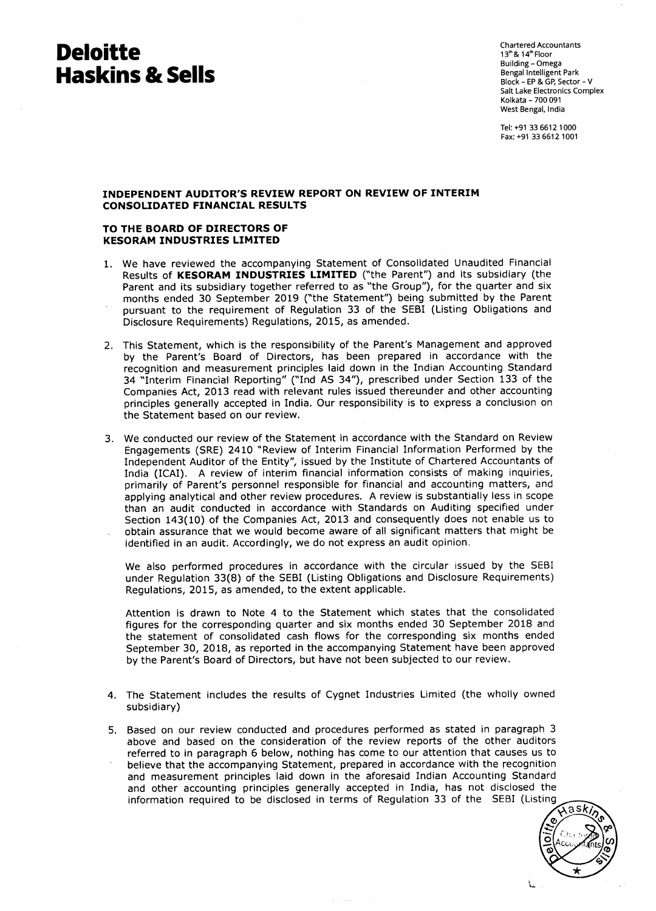# **Deloitte Haskins & Sells**

Chartered Accountants 13<sup>th</sup> & 14<sup>th</sup> Floor Building - Omega Bengal Intelligent Park Block - EP & GP, Sector - V Salt Lake Electronics Complex Kolkata - 700 091 West Bengal, India

Tel: +91 33 6612 1000 Fax: +91 33 6612 1001

### **INDEPENDENT AUDITOR'S REVIEW REPORT ON REVIEW OF INTERIM CONSOLIDATED FINANCIAL RESULTS**

#### **TO THE BOARD OF DIRECTORS OF KESORAM INDUSTRIES LIMITED**

- 1. We have reviewed the accompanying Statement of Consolidated Unaudited Financial Results of **KESORAM INDUSTRIES LIMITED** ("the Parent") and its subsidiary (the Parent and its subsidiary together referred to as "the Group"), for the quarter and six months ended 30 September 2019 ("the Statement") being submitted by the Parent pursuant to the requirement of Regulation 33 of the SEBI (Listing Obligations and Disclosure Requirements) Regulations, 2015, as amended.
- 2. This Statement, which is the responsibility of the Parent's Management and approved by the Parent's Board of Directors, has been prepared in accordance with the recognition and measurement principles laid down in the Indian Accounting Standard 34 "Interim Financial Reporting" ("Ind AS 34"), prescribed under Section 133 of the Companies Act, 2013 read with relevant rules issued thereunder and other accounting principles generally accepted in India. Our responsibility is to express a conclusion on the Statement based on our review.
- 3. We conducted our review of the Statement in accordance with the Standard on Review Engagements (SRE) 2410 "Review of Interim Financial Information Performed by the Independent Auditor of the Entity", issued by the Institute of Chartered Accountants of India (ICAI). A review of interim financial information consists of making inquiries, primarily of Parent's personnel responsible for financial and accounting matters, and applying analytical and other review procedures. A review is substantially less in scope than an audit conducted in accordance with Standards on Auditing specified under Section 143(10) of the Companies Act, 2013 and consequently does not enable us to obtain assurance that we would become aware of all significant matters that might be identified in an audit. Accordingly, we do not express an audit opinion.

We also performed procedures in accordance with the circular issued by the SEBI under Regulation 33(8) of the SEBI (Listing Obligations and Disclosure Requirements) Regulations, 2015, as amended, to the extent applicable.

Attention is drawn to Note 4 to the Statement which states that the consolidated figures for the corresponding quarter and six months ended 30 September 2018 and the statement of consolidated cash flows for the corresponding six months ended September 30, 2018, as reported in the accompanying Statement have been approved by the Parent's Board of Directors, but have not been subjected to our review.

- 4. The Statement includes the results of Cygnet Industries Limited (the wholly owned subsidiary)
- 5. Based on our review conducted and procedures performed as stated in paragraph 3 above and based on the consideration of the review reports of the other auditors referred to in paragraph 6 below, nothing has come to our attention that causes us to believe that the accompanying Statement, prepared in accordance with the recognition and measurement principles laid down in the aforesaid Indian Accounting Standard and other accounting principles generally accepted in India, has not disclosed the information required to be disclosed in terms of Regulation 33 of the SEBI (Listing

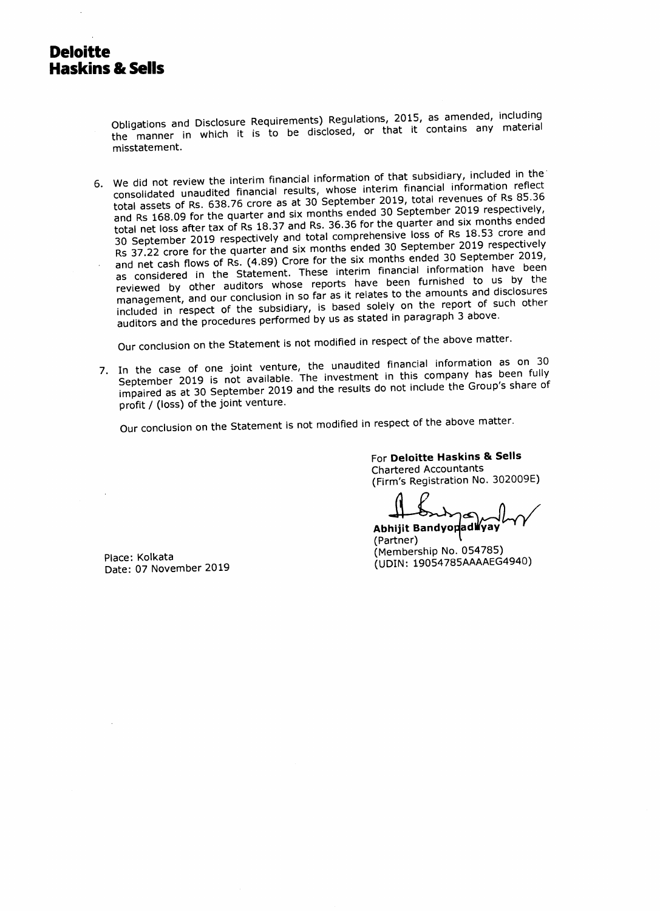Obligations and Disclosure Requirements) Regulations, 2015, as amended, including the manner in which it is to be disclosed, or that it contains any material misstatement.

6. We did not review the interim financial information of that subsidiary, included in the we did not forced the construction of the manufacture interior consolidated unaudited financial results, whose interim financial information reflect total assets of Rs. 638.76 crore as at 30 September 2019, total revenues of Rs 85.36 and Rs 168.09 for the quarter and six months ended 30 September 2019 respectively, and RS 166.09 for the quarter and an increase of the quarter and six months ended<br>total net loss after tax of Rs 18.37 and Rs. 36.36 for the quarter and six months ended 30 September 2019 respectively and total comprehensive loss of Rs 18.53 crore and Rs 37.22 crore for the quarter and six months ended 30 September 2019 respectively and net cash flows of Rs. (4.89) Crore for the six months ended 30 September 2019, as considered in the Statement. These interim financial information have been reviewed by other auditors whose reports have been furnished to us by the management, and our conclusion in so far as it relates to the amounts and disclosures included in respect of the subsidiary, is based solely on the report of such other auditors and the procedures performed by us as stated in paragraph 3 above.

Our conclusion on the Statement is not modified in respect of the above matter.

7. In the case of one joint venture, the unaudited financial information as on 30 September 2019 is not available. The investment in this company has been fully impaired as at 30 September 2019 and the results do not include the Group's share of profit / (loss) of the joint venture.

Our conclusion on the Statement is not modified in respect of the above matter

For **Deloitte Haskins & Sells**  Chartered Accountants (Firm's Registration No. 302009E)

Abhijit BandyopadWyay (Partner) (Membership No. 054785) (UDIN: 19054785AAAAEG4940)

Place: Kolkata Date: 07 November 2019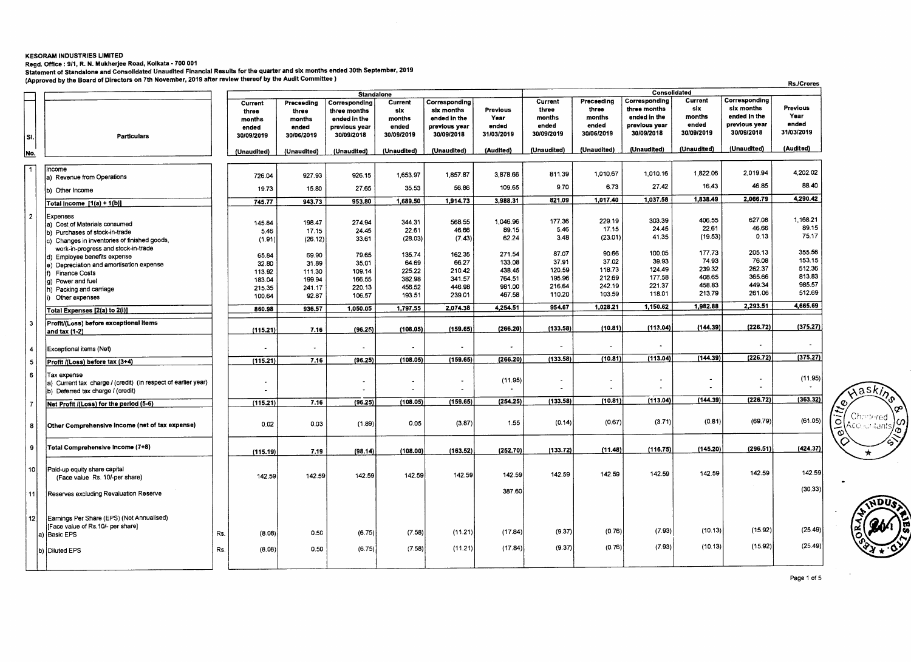#### **KESORAM INDUSTRIES LIMITED**

**Regd. Office : 9/1, R. N. Mukherjee Road, Kolkata - 700 001** 

Statement of Standalone and Consolidated Unaudited Financial Results for the quarter and six months ended 30th September, 2019<br>(Approved by the Board of Directors on 7th November, 2019 after review thereof by the Audit Com

|     |                 |                                                                                     |     |                                                   |                                                      | <b>Standalone</b>                                                            |                                                 |                                                                            |                                         |                                                   |                                                      | Consolidated                                                                 |                                                 |                                                                            |                                         |
|-----|-----------------|-------------------------------------------------------------------------------------|-----|---------------------------------------------------|------------------------------------------------------|------------------------------------------------------------------------------|-------------------------------------------------|----------------------------------------------------------------------------|-----------------------------------------|---------------------------------------------------|------------------------------------------------------|------------------------------------------------------------------------------|-------------------------------------------------|----------------------------------------------------------------------------|-----------------------------------------|
| SI. |                 | <b>Particulars</b>                                                                  |     | Current<br>three<br>months<br>ended<br>30/09/2019 | Preceeding<br>three<br>months<br>ended<br>30/06/2019 | Corresponding<br>three months<br>ended in the<br>previous year<br>30/09/2018 | Current<br>six<br>months<br>ended<br>30/09/2019 | Corresponding<br>six months<br>ended in the<br>previous year<br>30/09/2018 | Previous<br>Year<br>ended<br>31/03/2019 | Current<br>three<br>months<br>ended<br>30/09/2019 | Preceeding<br>three<br>months<br>ended<br>30/06/2019 | Corresponding<br>three months<br>ended in the<br>previous year<br>30/09/2018 | Current<br>six<br>months<br>ended<br>30/09/2019 | Corresponding<br>six months<br>ended in the<br>previous year<br>30/09/2018 | Previous<br>Year<br>ended<br>31/03/2019 |
| No. |                 |                                                                                     |     | (Unaudited)                                       | (Unaudited)                                          | (Unaudited)                                                                  | (Unaudited)                                     | (Unaudited)                                                                | (Audited)                               | (Unaudited)                                       | (Unaudited)                                          | (Unaudited)                                                                  | (Unaudited)                                     | (Unaudited)                                                                | (Audited)                               |
|     |                 |                                                                                     |     |                                                   |                                                      |                                                                              |                                                 |                                                                            |                                         |                                                   |                                                      |                                                                              |                                                 |                                                                            |                                         |
| □   |                 | Income<br>a) Revenue from Operations                                                |     | 726.04                                            | 927.93                                               | 926.15                                                                       | 1,653.97                                        | 1,857.87                                                                   | 3,878.66                                | 811.39                                            | 1.010.67                                             | 1,010.16                                                                     | 1,822.06                                        | 2.019.94                                                                   | 4,202.02                                |
|     |                 | b) Other Income                                                                     |     | 19.73                                             | 15.80                                                | 27.65                                                                        | 35.53                                           | 56.86                                                                      | 109.65                                  | 9.70                                              | 6.73                                                 | 27.42                                                                        | 16.43                                           | 46.85                                                                      | 88.40                                   |
|     |                 | Total Income [1(a) + 1(b)]                                                          |     | 745.77                                            | 943.73                                               | 953.80                                                                       | 1,689.50                                        | 1,914.73                                                                   | 3,988.31                                | 821.09                                            | 1,017.40                                             | 1,037.58                                                                     | 1,838.49                                        | 2,066.79                                                                   | 4,290.42                                |
|     | $\overline{2}$  | Expenses                                                                            |     |                                                   |                                                      | 274.94                                                                       | 344.31                                          | 568.55                                                                     | 1.046.96                                | 177.36                                            | 229.19                                               | 303.39                                                                       | 406.55                                          | 627.08                                                                     | 1,168.21                                |
|     |                 | a) Cost of Materials consumed                                                       |     | 145.84                                            | 198.47                                               | 24.45                                                                        | 22.61                                           | 46.66                                                                      | 89.15                                   | 5.46                                              | 17.15                                                | 24.45                                                                        | 22.61                                           | 46.66                                                                      | 89.15                                   |
|     |                 | b) Purchases of stock-in-trade                                                      |     | 5.46                                              | 17.15<br>(26.12)                                     | 33.61                                                                        | (28.03)                                         | (7.43)                                                                     | 62.24                                   | 3.48                                              | (23.01)                                              | 41.35                                                                        | (19.53)                                         | 0.13                                                                       | 75.17                                   |
|     |                 | c) Changes in inventories of finished goods,<br>work-in-progress and stock-in-trade |     | (1.91)                                            |                                                      |                                                                              |                                                 |                                                                            |                                         |                                                   |                                                      |                                                                              |                                                 |                                                                            |                                         |
|     |                 | d) Employee benefits expense                                                        |     | 65.84                                             | 69.90                                                | 79.65                                                                        | 135.74                                          | 162.35                                                                     | 271.54                                  | 87.07                                             | 90.66                                                | 100.05                                                                       | 177.73                                          | 205.13                                                                     | 355.56                                  |
|     |                 | e) Depreciation and amortisation expense                                            |     | 32.80                                             | 31.89                                                | 35.01                                                                        | 64.69                                           | 66.27                                                                      | 133.08                                  | 37.91                                             | 37.02                                                | 39.93                                                                        | 74.93                                           | 76.08                                                                      | 153.15                                  |
|     |                 | Finance Costs                                                                       |     | 113.92                                            | 111.30                                               | 109.14                                                                       | 225.22                                          | 210.42                                                                     | 438.45                                  | 120.59                                            | 118.73                                               | 124.49                                                                       | 239.32                                          | 262.37                                                                     | 512.36                                  |
|     |                 | g) Power and fuel                                                                   |     | 183.04                                            | 199.94                                               | 166.55                                                                       | 382.98                                          | 341.57                                                                     | 764.51                                  | 195.96                                            | 212.69                                               | 177.58                                                                       | 408.65                                          | 365.66                                                                     | 813.83                                  |
|     |                 | h) Packing and carriage                                                             |     | 215.35                                            | 241.17                                               | 220.13                                                                       | 456.52                                          | 446.98                                                                     | 981.00                                  | 216.64                                            | 242.19                                               | 221.37                                                                       | 458.83                                          | 449.34                                                                     | 985.57                                  |
|     |                 | Other expenses                                                                      |     | 100.64                                            | 92.87                                                | 106.57                                                                       | 193.51                                          | 239.01                                                                     | 467.58                                  | 110.20                                            | 103.59                                               | 118.01                                                                       | 213.79                                          | 261.06                                                                     | 512.69                                  |
|     |                 | Total Expenses [2(a) to 2(i)]                                                       |     | 860.98                                            | 936.57                                               | 1.050.05                                                                     | 1,797.55                                        | 2.074.38                                                                   | 4.254.51                                | 954.67                                            | 1,028.21                                             | 1,150.62                                                                     | 1,982.88                                        | 2.293.51                                                                   | 4,665.69                                |
|     | 3               | Profit/(Loss) before exceptional items                                              |     |                                                   |                                                      |                                                                              |                                                 |                                                                            |                                         |                                                   |                                                      |                                                                              |                                                 |                                                                            |                                         |
|     |                 | and tax (1-2)                                                                       |     | (115.21)                                          | 7.16                                                 | (96.25)                                                                      | (108.05)                                        | (159.65)                                                                   | (266.20)                                | (133.58)                                          | (10.81)                                              | (113.04)                                                                     | (144.39)                                        | (226.72)                                                                   | (375.27)                                |
|     | 4               | Exceptional items (Net)                                                             |     |                                                   | $\overline{\phantom{a}}$                             | $\tilde{\phantom{a}}$                                                        |                                                 |                                                                            |                                         |                                                   | $\overline{\phantom{a}}$                             |                                                                              |                                                 |                                                                            |                                         |
|     | 5               | Profit /(Loss) before tax (3+4)                                                     |     | (115.21)                                          | 7.16                                                 | (96.25)                                                                      | (108.05)                                        | (159.65)                                                                   | (266.20)                                | (133.58)                                          | (10.81)                                              | (113.04)                                                                     | (144.39)                                        | (226.72)                                                                   | (375.27)                                |
|     | 6               | Tax expense                                                                         |     |                                                   |                                                      |                                                                              |                                                 |                                                                            |                                         |                                                   |                                                      |                                                                              |                                                 |                                                                            |                                         |
|     |                 | a) Current tax charge / (credit) (in respect of earlier year)                       |     |                                                   |                                                      | ٠                                                                            | $\bullet$                                       |                                                                            | (11.95)                                 |                                                   | $\ddot{\phantom{1}}$                                 |                                                                              | $\blacksquare$                                  |                                                                            | (11.95)                                 |
|     |                 | b) Deferred tax charge / (credit)                                                   |     |                                                   |                                                      |                                                                              |                                                 |                                                                            |                                         |                                                   |                                                      |                                                                              |                                                 |                                                                            |                                         |
|     | $\overline{7}$  | Net Profit /(Loss) for the period (5-6)                                             |     | (115.21)                                          | 7.16                                                 | (96.25)                                                                      | (108.05)                                        | (159.65)                                                                   | (254.25)                                | (133.58)                                          | (10.81)                                              | (113.04)                                                                     | (144.39)                                        | (226.72)                                                                   | (363.32)                                |
|     | 8               | Other Comprehensive Income (net of tax expense)                                     |     | 0.02                                              | 0.03                                                 | (1.89)                                                                       | 0.05                                            | (3.87)                                                                     | 1.55                                    | (0.14)                                            | (0.67)                                               | (3.71)                                                                       | (0.81)                                          | (69.79)                                                                    | (61.05)                                 |
|     |                 |                                                                                     |     |                                                   |                                                      |                                                                              |                                                 |                                                                            |                                         |                                                   |                                                      |                                                                              |                                                 |                                                                            |                                         |
|     | 9               | Total Comprehensive Income (7+8)                                                    |     | (115.19)                                          | 7.19                                                 | (98.14)                                                                      | (108.00)                                        | (163.52)                                                                   | (252.70)                                | (133.72)                                          | (11.48)                                              | (116.75)                                                                     | (145.20)                                        | (296.51)                                                                   | (424.37)                                |
|     | 10              | Paid-up equity share capital                                                        |     |                                                   |                                                      |                                                                              |                                                 |                                                                            |                                         |                                                   |                                                      |                                                                              |                                                 |                                                                            |                                         |
|     |                 | (Face value Rs. 10/-per share)                                                      |     | 142.59                                            | 142.59                                               | 142.59                                                                       | 142.59                                          | 142.59                                                                     | 142.59                                  | 142.59                                            | 142.59                                               | 142.59                                                                       | 142.59                                          | 142.59                                                                     | 142.59                                  |
|     | 11              | Reserves excluding Revaluation Reserve                                              |     |                                                   |                                                      |                                                                              |                                                 |                                                                            | 387.60                                  |                                                   |                                                      |                                                                              |                                                 |                                                                            | (30.33)                                 |
|     |                 |                                                                                     |     |                                                   |                                                      |                                                                              |                                                 |                                                                            |                                         |                                                   |                                                      |                                                                              |                                                 |                                                                            |                                         |
|     |                 |                                                                                     |     |                                                   |                                                      |                                                                              |                                                 |                                                                            |                                         |                                                   |                                                      |                                                                              |                                                 |                                                                            |                                         |
|     | 12 <sup>1</sup> | Earnings Per Share (EPS) (Not Annualised)                                           |     |                                                   |                                                      |                                                                              |                                                 |                                                                            |                                         |                                                   |                                                      |                                                                              |                                                 |                                                                            |                                         |
|     |                 | [Face value of Rs.10/- per share]                                                   |     |                                                   |                                                      |                                                                              |                                                 |                                                                            |                                         | (9.37)                                            | (0.76)                                               | (7.93)                                                                       | (10.13)                                         | (15.92)                                                                    | (25.49)                                 |
|     |                 | a) Basic EPS                                                                        | Rs. | (8.08)                                            | 0.50                                                 | (6.75)                                                                       | (7.58)                                          | (11.21)                                                                    | (17.84)                                 |                                                   |                                                      |                                                                              |                                                 |                                                                            |                                         |
|     |                 | b) Diluted EPS                                                                      | Rs. | (8.08)                                            | 0.50                                                 | (6.75)                                                                       | (7.58)                                          | (11.21)                                                                    | (17.84)                                 | (9.37)                                            | (0.76)                                               | (7.93)                                                                       | (10.13)                                         | (15.92)                                                                    | (25.49)                                 |
|     |                 |                                                                                     |     |                                                   |                                                      |                                                                              |                                                 |                                                                            |                                         |                                                   |                                                      |                                                                              |                                                 |                                                                            |                                         |



Page 1 of 5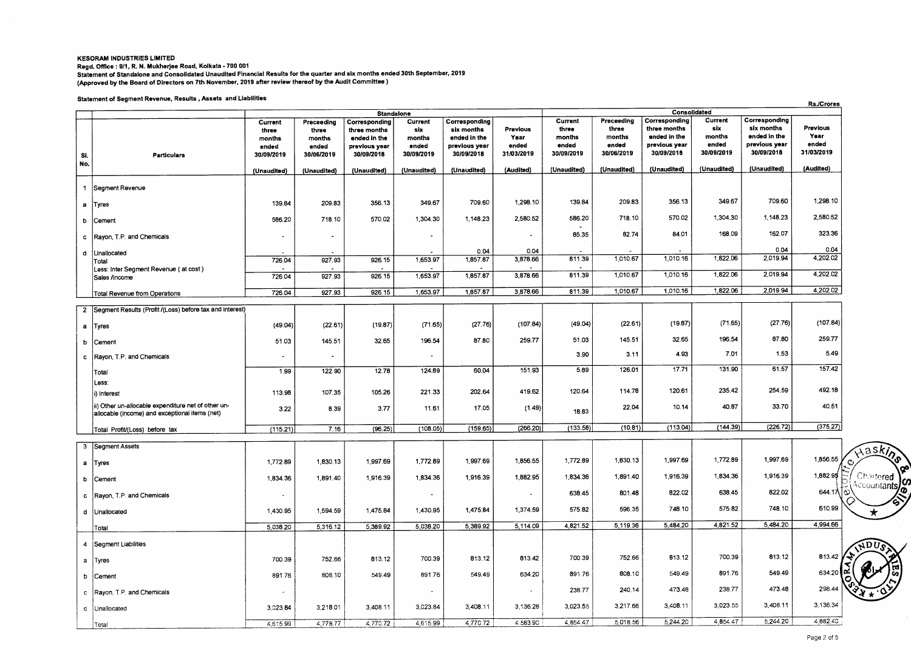#### **KESORAM INDUSTRIES LIMITED Regd. Office : 9/1, R. N. Mukherjee Road, Kolkata - 700 001 Statement of Standalone and Consolidated Unaudited Financial Results for the quarter and six months ended 30th September, 2019 (Approved by the Board of Directors on 7th November, 2019 after review thereof by the Audit Committee )**

#### **Statement of Segment Revenue, Results , Assets and Liabilities**

|                                 | alalellient of aeginem Revenue, Results , Rassia unu       |                                                   |                                                      |                                                                                            |                                                 |                                                                            |                                         |                                                   |                                                      |                                                                              | Consolidated                                    |                                                                            | <b>Rs./Crores</b>                       |
|---------------------------------|------------------------------------------------------------|---------------------------------------------------|------------------------------------------------------|--------------------------------------------------------------------------------------------|-------------------------------------------------|----------------------------------------------------------------------------|-----------------------------------------|---------------------------------------------------|------------------------------------------------------|------------------------------------------------------------------------------|-------------------------------------------------|----------------------------------------------------------------------------|-----------------------------------------|
| Si.                             | <b>Particulars</b>                                         | Current<br>three<br>months<br>ended<br>30/09/2019 | Preceeding<br>three<br>months<br>ended<br>30/06/2019 | Standalone<br>Corresponding<br>three months<br>ended in the<br>previous year<br>30/09/2018 | Current<br>six<br>months<br>ended<br>30/09/2019 | Corresponding<br>six months<br>ended in the<br>previous year<br>30/09/2018 | Previous<br>Year<br>ended<br>31/03/2019 | Current<br>three<br>months<br>ended<br>30/09/2019 | Preceeding<br>three<br>months<br>ended<br>30/06/2019 | Corresponding<br>three months<br>ended in the<br>previous year<br>30/09/2018 | Current<br>six<br>months<br>ended<br>30/09/2019 | Corresponding<br>six months<br>ended in the<br>previous year<br>30/09/2018 | Previous<br>Year<br>ended<br>31/03/2019 |
| No.                             |                                                            | (Unaudited)                                       | (Unaudited)                                          | (Unaudited)                                                                                | (Unaudited)                                     | (Unaudited)                                                                | (Audited)                               | (Unaudited)                                       | (Unaudited)                                          | (Unaudited)                                                                  | (Unaudited)                                     | (Unaudited)                                                                | (Audited)                               |
| $\mathbf{1}$<br>Segment Revenue |                                                            |                                                   |                                                      |                                                                                            |                                                 |                                                                            |                                         |                                                   |                                                      |                                                                              |                                                 |                                                                            |                                         |
| a  Tyres                        |                                                            | 139.84                                            | 209.83                                               | 356.13                                                                                     | 349.67                                          | 709.60                                                                     | 1,298.10                                | 139.84                                            | 209.83                                               | 356.13                                                                       | 349.67                                          | 709.60                                                                     | 1,298.10                                |
| b<br>Cement                     |                                                            | 586.20                                            | 718.10                                               | 570.02                                                                                     | 1,304.30                                        | 1,148.23                                                                   | 2,580.52                                | 586.20                                            | 718.10                                               | 570.02                                                                       | 1,304.30                                        | 1.148.23                                                                   | 2,580.52                                |
| $\mathbf{c}$                    | Rayon, T.P. and Chemicals                                  | $\blacksquare$                                    | $\blacksquare$                                       |                                                                                            |                                                 |                                                                            |                                         | 85.35                                             | 82.74                                                | 84.01                                                                        | 168.09                                          | 162.07                                                                     | 323.36                                  |
| d<br>Unallocated                |                                                            |                                                   |                                                      |                                                                                            |                                                 | 0.04                                                                       | 0.04                                    |                                                   |                                                      |                                                                              |                                                 | 0.04                                                                       | 0.04                                    |
| Total                           | Less: Inter Segment Revenue (at cost)                      | 726.04                                            | 927.93                                               | 926.15                                                                                     | 1,653.97                                        | 1,857.87                                                                   | 3,878.66                                | 811.39                                            | 1,010.67                                             | 1,010.16                                                                     | 1,822.06                                        | 2,019.94                                                                   | 4,202.02                                |
| Sales /Income                   |                                                            | 726.04                                            | 927.93                                               | 926.15                                                                                     | 1,653.97                                        | 1,857.87                                                                   | 3,878.66                                | 811.39                                            | 1,010.67                                             | 1,010.16                                                                     | 1,822.06                                        | 2,019.94                                                                   | 4,202.02                                |
|                                 | Total Revenue from Operations                              | 726.04                                            | 927.93                                               | 926.15                                                                                     | 1,653.97                                        | 1,857.87                                                                   | 3,878.66                                | 811.39                                            | 1,010.67                                             | 1,010.16                                                                     | 1,822.06                                        | 2,019.94                                                                   | 4,202.02                                |
|                                 | 2 Segment Results (Profit /(Loss) before tax and interest) |                                                   |                                                      |                                                                                            |                                                 |                                                                            |                                         |                                                   |                                                      |                                                                              |                                                 |                                                                            |                                         |
| a Tyres                         |                                                            | (49.04)                                           | (22.61)                                              | (19.87)                                                                                    | (71.65)                                         | (27.76)                                                                    | (107.84)                                | (49.04)                                           | (22.61)                                              | (19.87)                                                                      | (71.65)                                         | (27.76)                                                                    | (107.84)                                |
| b<br>Cement                     |                                                            | 51.03                                             | 145.51                                               | 32.65                                                                                      | 196.54                                          | 87.80                                                                      | 259.77                                  | 51.03                                             | 145.51                                               | 32.65                                                                        | 196.54                                          | 87.80                                                                      | 259.77                                  |
| $\mathbf{c}$                    | Rayon, T.P. and Chemicals                                  | $\overline{\phantom{a}}$                          | $\ddot{\phantom{a}}$                                 |                                                                                            |                                                 |                                                                            |                                         | 3.90                                              | 3.11                                                 | 4.93                                                                         | 7.01                                            | 1.53                                                                       | 5.49                                    |
| Total                           |                                                            | 1.99                                              | 122.90                                               | 12.78                                                                                      | 124.89                                          | 60.04                                                                      | 151.93                                  | 5.89                                              | 126.01                                               | 17.71                                                                        | 131.90                                          | 61.57                                                                      | 157.42                                  |
| Less:                           |                                                            |                                                   | 107.35                                               | 105.26                                                                                     | 221.33                                          | 202.64                                                                     | 419.62                                  | 120.64                                            | 114.78                                               | 120.61                                                                       | 235.42                                          | 254.59                                                                     | 492.18                                  |
| i) Interest                     | ii) Other un-allocable expenditure net of other un-        | 113.98                                            |                                                      |                                                                                            |                                                 |                                                                            |                                         |                                                   |                                                      |                                                                              |                                                 | 33.70                                                                      | 40.51                                   |
|                                 | allocable (income) and exceptional items (net)             | 3.22                                              | 8.39                                                 | 3.77                                                                                       | 11.61                                           | 17.05                                                                      | (1.49)                                  | 18.83                                             | 22.04                                                | 10.14                                                                        | 40.87                                           |                                                                            |                                         |
|                                 | Total Profit/(Loss) before tax                             | (115.21)                                          | 7.16                                                 | (96.25)                                                                                    | (108.05)                                        | (159.65)                                                                   | (266.20)                                | (133.58)                                          | (10.81)                                              | (113.04)                                                                     | (144.39)                                        | (226.72)                                                                   | (375.27)                                |
| 3 Segment Assets                |                                                            |                                                   |                                                      |                                                                                            |                                                 |                                                                            |                                         |                                                   |                                                      |                                                                              |                                                 |                                                                            |                                         |
| a   Tyres                       |                                                            | 1,772.89                                          | 1,830.13                                             | 1,997.69                                                                                   | 1,772.89                                        | 1,997.69                                                                   | 1,856.55                                | 1,772.89                                          | 1,830.13                                             | 1,997.69                                                                     | 1,772.89                                        | 1,997.69                                                                   | 1,856.55                                |
| b Cement                        |                                                            | 1,834.36                                          | 1,891.40                                             | 1,916.39                                                                                   | 1,834.36                                        | 1,916.39                                                                   | 1,882.95                                | 1,834.36                                          | 1,891.40                                             | 1,916.39                                                                     | 1,834.36                                        | 1,916.39                                                                   | 1,882.95                                |
|                                 | c Rayon, T.P. and Chemicals                                |                                                   |                                                      |                                                                                            | $\bullet$                                       |                                                                            | $\overline{\phantom{a}}$                | 638.45                                            | 801.48                                               | 822.02                                                                       | 638.45                                          | 822.02                                                                     | 644.17\ ⊙                               |
| d Unallocated                   |                                                            | 1,430.95                                          | 1,594.59                                             | 1,475.84                                                                                   | 1,430.95                                        | 1,475.84                                                                   | 1,374.59                                | 575.82                                            | 596.35                                               | 748.10                                                                       | 575.82                                          | 748.10                                                                     | 610.99                                  |
| Total                           |                                                            | 5,038.20                                          | 5,316.12                                             | 5,389.92                                                                                   | 5,038.20                                        | 5,389.92                                                                   | 5,114.09                                | 4,821.52                                          | 5,119.36                                             | 5,484.20                                                                     | 4,821.52                                        | 5.484.20                                                                   | 4,994.66                                |
| 4   Segment Liabilities         |                                                            |                                                   |                                                      |                                                                                            |                                                 |                                                                            |                                         |                                                   |                                                      |                                                                              |                                                 |                                                                            |                                         |
| a Tyres                         |                                                            | 700.39                                            | 752.66                                               | 813.12                                                                                     | 700.39                                          | 813.12                                                                     | 813.42                                  | 700.39                                            | 752.66                                               | 813.12                                                                       | 700.39                                          | 813.12                                                                     | 813.42                                  |
| b Cement                        |                                                            | 891.76                                            | 808.10                                               | 549.49                                                                                     | 891.76                                          | 549.49                                                                     | 634.20                                  | 891.76                                            | 808.10                                               | 549.49                                                                       | 891.76                                          | 549.49                                                                     | 634.20                                  |
|                                 | c   Rayon, T.P. and Chemicals                              |                                                   |                                                      |                                                                                            |                                                 |                                                                            | $\sim$                                  | 238.77                                            | 240.14                                               | 473.48                                                                       | 238.77                                          | 473.48                                                                     | 298.44                                  |
| d Unallocated                   |                                                            | 3,023.84                                          | 3.218.01                                             | 3,408.11                                                                                   | 3,023.84                                        | 3,408.11                                                                   | 3,136.28                                | 3,023.55                                          | 3,217.66                                             | 3,408.11                                                                     | 3.023.55                                        | 3,408.11                                                                   | 3,136.34                                |
| Total                           |                                                            | 4,615.99                                          | 4,778.77                                             | 4.770.72                                                                                   | 4,615.99                                        | 4,770.72                                                                   | 4.583.90                                | 4,854.47                                          | 5,018.56                                             | 5,244.20                                                                     | 4.854.47                                        | 5,244.20                                                                   | 4,882.40                                |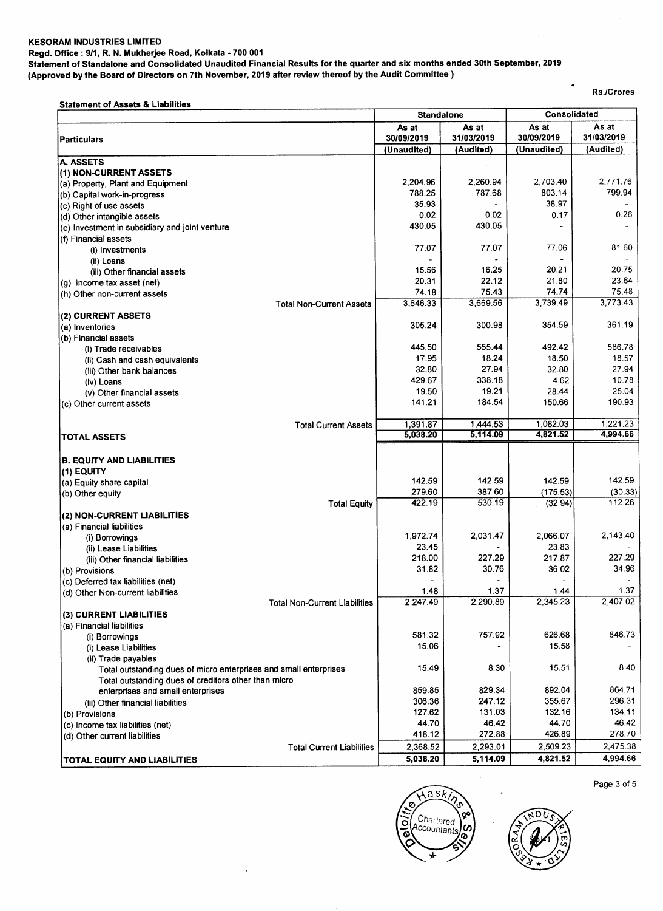#### **KESORAM INDUSTRIES LIMITED**

**Regd. Office : 9/1, R. N. Mukherjee Road, Kolkata - 700 001** 

**Statement of Standalone and Consolidated Unaudited Financial Results for the quarter and six months ended 30th September, 2019** 

**(Approved by the Board of Directors on 7th November, 2019 after review thereof by the Audit Committee )** 

 $\ddot{\phantom{0}}$ 

**Rs./Crores** 

 $\ddot{\phantom{1}}$ 

| <b>Statement of Assets &amp; Liabilities</b>                      | <b>Standalone</b>        |                | Consolidated |            |  |
|-------------------------------------------------------------------|--------------------------|----------------|--------------|------------|--|
|                                                                   | As at                    | As at          | As at        | As at      |  |
| <b>Particulars</b>                                                | 30/09/2019               | 31/03/2019     | 30/09/2019   | 31/03/2019 |  |
|                                                                   | (Unaudited)              | (Audited)      | (Unaudited)  | (Audited)  |  |
| <b>A. ASSETS</b>                                                  |                          |                |              |            |  |
| (1) NON-CURRENT ASSETS                                            |                          |                |              |            |  |
| (a) Property, Plant and Equipment                                 | 2,204.96                 | 2,260.94       | 2.703.40     | 2,771.76   |  |
| (b) Capital work-in-progress                                      | 788.25                   | 787.68         | 803.14       | 799.94     |  |
| (c) Right of use assets                                           | 35.93                    |                | 38.97        |            |  |
| (d) Other intangible assets                                       | 0.02                     | 0.02           | 0.17         | 0.26       |  |
| (e) Investment in subsidiary and joint venture                    | 430.05                   | 430.05         |              |            |  |
| (f) Financial assets                                              |                          | 77.07          | 77.06        | 81.60      |  |
| (i) Investments                                                   | 77.07                    |                |              |            |  |
| (ii) Loans                                                        | 15.56                    | 16.25          | 20.21        | 20.75      |  |
| (iii) Other financial assets                                      | 20.31                    | 22.12          | 21.80        | 23.64      |  |
| (g) Income tax asset (net)                                        | 74.18                    | 75.43          | 74.74        | 75.48      |  |
| (h) Other non-current assets                                      | 3,646.33                 | 3,669.56       | 3,739.49     | 3,773.43   |  |
| <b>Total Non-Current Assets</b>                                   |                          |                |              |            |  |
| (2) CURRENT ASSETS                                                | 305.24                   | 300.98         | 354.59       | 361.19     |  |
| (a) Inventories<br>(b) Financial assets                           |                          |                |              |            |  |
|                                                                   | 445.50                   | 555.44         | 492.42       | 586.78     |  |
| (i) Trade receivables<br>(ii) Cash and cash equivalents           | 17.95                    | 18.24          | 18.50        | 18.57      |  |
| (iii) Other bank balances                                         | 32.80                    | 27.94          | 32.80        | 27.94      |  |
| (iv) Loans                                                        | 429.67                   | 338.18         | 4.62         | 10.78      |  |
| (v) Other financial assets                                        | 19.50                    | 19.21          | 28.44        | 25.04      |  |
| (c) Other current assets                                          | 141.21                   | 184.54         | 150.66       | 190.93     |  |
|                                                                   |                          |                |              |            |  |
| <b>Total Current Assets</b>                                       | 1,391.87                 | 1,444.53       | 1,082.03     | 1,221.23   |  |
| <b>TOTAL ASSETS</b>                                               | 5,038.20                 | 5,114.09       | 4,821.52     | 4,994.66   |  |
|                                                                   |                          |                |              |            |  |
| <b>B. EQUITY AND LIABILITIES</b>                                  |                          |                |              |            |  |
| (1) EQUITY                                                        |                          |                |              |            |  |
| (a) Equity share capital                                          | 142.59                   | 142.59         | 142.59       | 142.59     |  |
| (b) Other equity                                                  | 279.60                   | 387.60         | (175.53)     | (30.33)    |  |
| <b>Total Equity</b>                                               | 422.19                   | 530.19         | (32.94)      | 112.26     |  |
| (2) NON-CURRENT LIABILITIES                                       |                          |                |              |            |  |
| (a) Financial liabilities                                         |                          |                |              |            |  |
| (i) Borrowings                                                    | 1,972.74                 | 2,031.47       | 2,066.07     | 2,143.40   |  |
| (ii) Lease Liabilities                                            | 23.45                    |                | 23.83        |            |  |
| (iii) Other financial liabilities                                 | 218.00                   | 227.29         | 217.87       | 227.29     |  |
| (b) Provisions                                                    | 31.82                    | 30.76          | 36.02        | 34.96      |  |
| (c) Deferred tax liabilities (net)                                | $\overline{\phantom{a}}$ | $\blacksquare$ | $\omega$     |            |  |
| (d) Other Non-current liabilities                                 | 1.48                     | 1.37           | 1.44         | 1.37       |  |
| <b>Total Non-Current Liabilities</b>                              | 2.247.49                 | 2,290.89       | 2,345.23     | 2,407.02   |  |
| (3) CURRENT LIABILITIES                                           |                          |                |              |            |  |
| (a) Financial liabilities                                         |                          |                |              |            |  |
| (i) Borrowings                                                    | 581.32                   | 757.92         | 626.68       | 846.73     |  |
| (i) Lease Liabilities                                             | 15.06                    |                | 15.58        |            |  |
| (ii) Trade payables                                               |                          |                |              |            |  |
| Total outstanding dues of micro enterprises and small enterprises | 15.49                    | 8.30           | 15.51        | 8.40       |  |
| Total outstanding dues of creditors other than micro              |                          |                |              |            |  |
| enterprises and small enterprises                                 | 859.85                   | 829.34         | 892.04       | 864.71     |  |
| (iii) Other financial liabilities                                 | 306.36                   | 247.12         | 355.67       | 296.31     |  |
| (b) Provisions                                                    | 127.62                   | 131.03         | 132.16       | 134.11     |  |
| (c) Income tax liabilities (net)                                  | 44.70                    | 46.42          | 44.70        | 46.42      |  |
| (d) Other current liabilities                                     | 418.12                   | 272.88         | 426.89       | 278.70     |  |
| <b>Total Current Liabilities</b>                                  | 2,368.52                 | 2,293.01       | 2,509.23     | 2,475.38   |  |
| TOTAL EQUITY AND LIABILITIES                                      | 5,038.20                 | 5,114.09       | 4,821.52     | 4,994.66   |  |





Page 3 of 5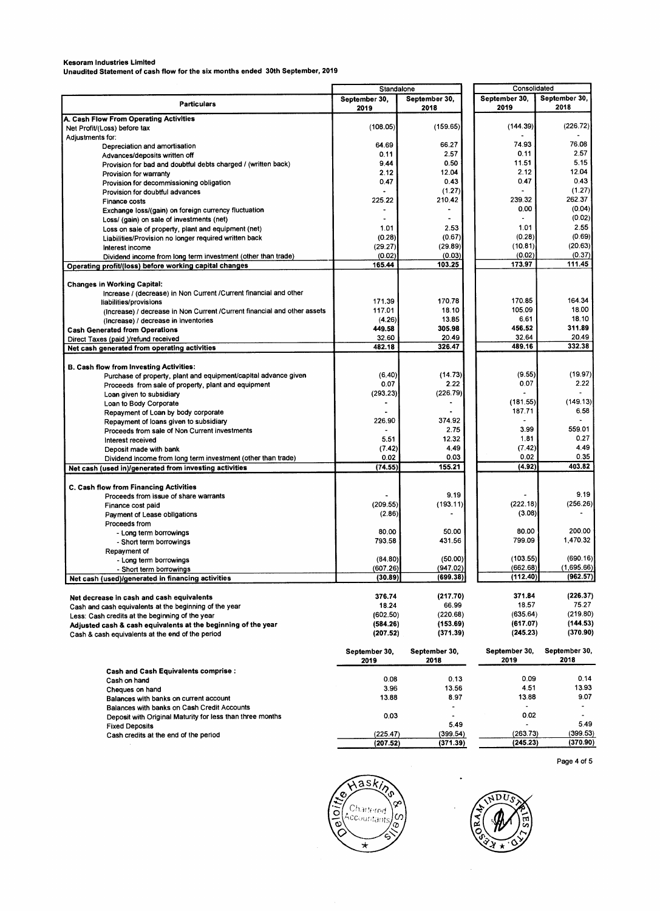**Kesoram Industries Limited Unaudited Statement of cash flow for the six months ended 30th September, 2019** 

|                                                                                                     | Standalone            |                       | Consolidated          |                       |
|-----------------------------------------------------------------------------------------------------|-----------------------|-----------------------|-----------------------|-----------------------|
| <b>Particulars</b>                                                                                  | September 30.<br>2019 | September 30,<br>2018 | September 30,<br>2019 | September 30,<br>2018 |
| A. Cash Flow From Operating Activities                                                              |                       |                       |                       |                       |
| Net Profit/(Loss) before tax<br>Adjustments for:                                                    | (108.05)              | (159.65)              | (144.39)              | (226.72)              |
| Depreciation and amortisation                                                                       | 64.69                 | 66.27                 | 74.93                 | 76.08                 |
| Advances/deposits written off                                                                       | 0.11                  | 2.57                  | 0.11                  | 2.57                  |
| Provision for bad and doubtful debts charged / (written back)                                       | 9.44                  | 0.50                  | 11.51                 | 5.15                  |
| Provision for warranty                                                                              | 2.12                  | 12.04                 | 2.12                  | 12.04                 |
| Provision for decommissioning obligation                                                            | 0.47                  | 0.43                  | 0.47                  | 0.43                  |
| Provision for doubtful advances                                                                     |                       | (1.27)                |                       | (1.27)                |
| <b>Finance costs</b>                                                                                | 225.22                | 210.42                | 239.32                | 262.37                |
| Exchange loss/(gain) on foreign currency fluctuation<br>Loss/ (gain) on sale of investments (net)   | $\blacksquare$        | $\ddot{\phantom{0}}$  | 0.00                  | (0.04)<br>(0.02)      |
| Loss on sale of property, plant and equipment (net)                                                 | 1.01                  | 2.53                  | 1.01                  | 2.55                  |
| Liabilities/Provision no longer required written back                                               | (0.28)                | (0.67)                | (0.28)                | (0.69)                |
| Interest income                                                                                     | (29.27)               | (29.89)               | (10.81)               | (20.63)               |
| Dividend income from long term investment (other than trade)                                        | (0.02)                | (0.03)                | (0.02)                | (0.37)                |
| Operating profit/(loss) before working capital changes                                              | 165.44                | 103.25                | 173.97                | 111.45                |
|                                                                                                     |                       |                       |                       |                       |
| <b>Changes in Working Capital:</b>                                                                  |                       |                       |                       |                       |
| Increase / (decrease) in Non Current / Current financial and other                                  | 171.39                | 170.78                | 170.85                | 164.34                |
| liabilities/provisions<br>(Increase) / decrease in Non Current / Current financial and other assets | 117.01                | 18.10                 | 105.09                | 18.00                 |
| (Increase) / decrease in inventories                                                                | (4.26)                | 13.85                 | 6.61                  | 18.10                 |
| <b>Cash Generated from Operations</b>                                                               | 449.58                | 305.98                | 456.52                | 311.89                |
| Direct Taxes (paid )/refund received                                                                | 32.60                 | 20.49                 | 32.64                 | 20.49                 |
| Net cash generated from operating activities                                                        | 482.18                | 326.47                | 489.16                | 332.38                |
|                                                                                                     |                       |                       |                       |                       |
| <b>B. Cash flow from Investing Activities:</b>                                                      |                       |                       |                       |                       |
| Purchase of property, plant and equipment/capital advance given                                     | (6.40)                | (14.73)               | (9.55)                | (19.97)               |
| Proceeds from sale of property, plant and equipment                                                 | 0.07                  | 2.22<br>(226.79)      | 0.07                  | 2.22                  |
| Loan given to subsidiary                                                                            | (293.23)              |                       | (181.55)              | (149.13)              |
| Loan to Body Corporate                                                                              |                       |                       | 187.71                | 6.58                  |
| Repayment of Loan by body corporate<br>Repayment of loans given to subsidiary                       | 226.90                | 374.92                |                       |                       |
| Proceeds from sale of Non Current investments                                                       |                       | 2.75                  | 3.99                  | 559.01                |
| Interest received                                                                                   | 5.51                  | 12.32                 | 1.81                  | 0.27                  |
| Deposit made with bank                                                                              | (7.42)                | 4.49                  | (7.42)                | 4.49                  |
| Dividend income from long term investment (other than trade)                                        | 0.02                  | 0.03                  | 0.02                  | 0.35                  |
| Net cash (used in)/generated from investing activities                                              | (74.55)               | 155.21                | (4.92)                | 403.82                |
| C. Cash flow from Financing Activities                                                              |                       |                       |                       |                       |
| Proceeds from issue of share warrants                                                               |                       | 9.19                  |                       | 9.19                  |
| Finance cost paid                                                                                   | (209.55)              | (193.11)              | (222.18)              | (256.26)              |
| Payment of Lease obligations                                                                        | (2.86)                |                       | (3.08)                |                       |
| Proceeds from                                                                                       |                       |                       |                       |                       |
| - Long term borrowings                                                                              | 80.00                 | 50.00                 | 80.00                 | 200.00                |
| - Short term borrowings                                                                             | 793.58                | 431.56                | 799.09                | 1,470.32              |
| Repayment of                                                                                        |                       |                       |                       |                       |
| - Long term borrowings                                                                              | (84.80)               | (50.00)               | (103.55)              | (690.16)              |
| - Short term borrowings                                                                             | (607.26)              | (947.02)              | (662.68)              | (1,695.66)            |
| Net cash (used)/generated in financing activities                                                   | (30.89)               | (699.38)              | (112.40)              | (962.57)              |
| Net decrease in cash and cash equivalents                                                           | 376.74                | (217.70)              | 371.84                | (226.37)              |
| Cash and cash equivalents at the beginning of the year                                              | 18.24                 | 66.99                 | 18.57                 | 75.27                 |
| Less: Cash credits at the beginning of the year                                                     | (602.50)              | (220.68)              | (635.64)              | (219.80)              |
| Adjusted cash & cash equivalents at the beginning of the year                                       | (584.26)              | (153.69)              | (617.07)              | (144.53)              |
| Cash & cash equivalents at the end of the period                                                    | (207.52)              | (371.39)              | (245.23)              | (370.90)              |
|                                                                                                     | September 30,<br>2019 | September 30,<br>2018 | September 30,<br>2019 | September 30,<br>2018 |
| <b>Cash and Cash Equivalents comprise:</b>                                                          |                       |                       |                       |                       |
| Cash on hand                                                                                        | 0.08                  | 0.13                  | 0.09                  | 0.14                  |
| Cheques on hand                                                                                     | 3.96                  | 13.56                 | 4.51                  | 13.93                 |
| Balances with banks on current account                                                              | 13.88                 | 8.97                  | 13.88                 | 9.07                  |
| Balances with banks on Cash Credit Accounts                                                         |                       | $\overline{a}$        |                       |                       |
| Deposit with Original Maturity for less than three months                                           | 0.03                  |                       | 0.02                  | ۰                     |
| <b>Fixed Deposits</b>                                                                               |                       | 5.49                  |                       | 5.49                  |
| Cash credits at the end of the period                                                               | (225.47)              | (399.54)              | (263.73)              | (399.53)              |
|                                                                                                     | (207.52)              | (371.39)              | (245.23)              | (370.90)              |

**Page 4 of** 5





 $\cdot$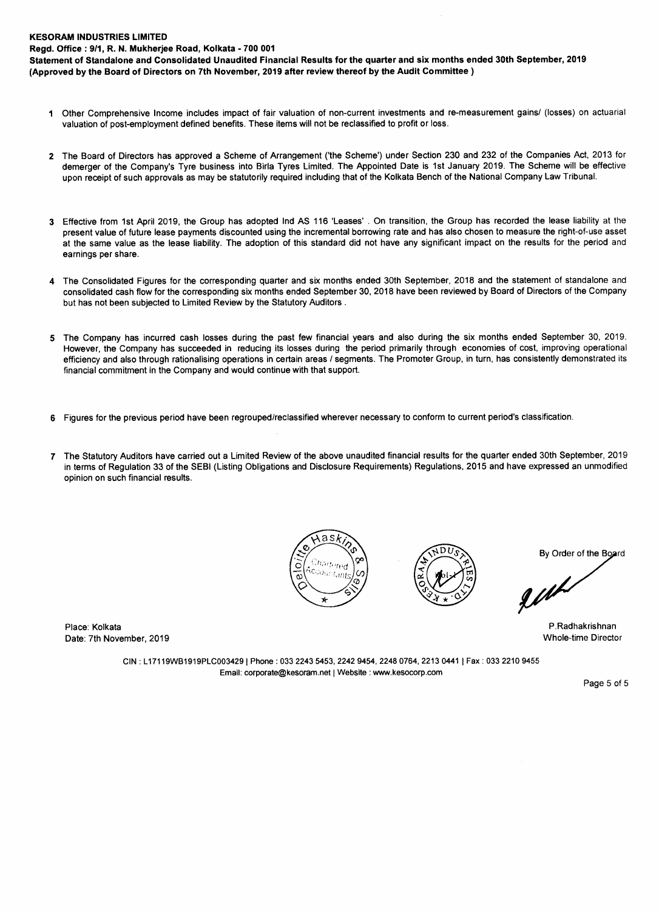#### **KESORAM INDUSTRIES LIMITED**

**Regd. Office : 911, R. N. Mukherjee Road, Kolkata - 700 001** 

**Statement of Standalone and Consolidated Unaudited Financial Results for the quarter and six months ended 30th September, 2019 (Approved by the Board of Directors on 7th November, 2019 after review thereof by the Audit Committee )** 

- 1 Other Comprehensive Income includes impact of fair valuation of non-current investments and re-measurement gains/ (losses) on actuarial valuation of post-employment defined benefits. These items will not be reclassified to profit or loss.
- **2** The Board of Directors has approved a Scheme of Arrangement ('the Scheme') under Section 230 and 232 of the Companies Act, 2013 for demerger of the Company's Tyre business into Birla Tyres Limited. The Appointed Date is 1st January 2019. The Scheme will be effective upon receipt of such approvals as may be statutorily required including that of the Kolkata Bench of the National Company Law Tribunal.
- 3 Effective from 1st April 2019, the Group has adopted Ind AS 116 'Leases' . On transition, the Group has recorded the lease liability at the present value of future lease payments discounted using the incremental borrowing rate and has also chosen to measure the right-of-use asset at the same value as the lease liability. The adoption of this standard did not have any significant impact on the results for the period and earnings per share.
- **4** The Consolidated Figures for the corresponding quarter and six months ended 30th September, 2018 and the statement of standalone and consolidated cash flow for the corresponding six months ended September 30, 2018 have been reviewed by Board of Directors of the Company but has not been subjected to Limited Review by the Statutory Auditors .
- **5** The Company has incurred cash losses during the past few financial years and also during the six months ended September 30, 2019. However, the Company has succeeded in reducing its losses during the period primarily through economies of cost, improving operational efficiency and also through rationalising operations in certain areas / segments. The Promoter Group, in turn, has consistently demonstrated its financial commitment in the Company and would continue with that support.
- **6** Figures for the previous period have been regrouped/reclassified wherever necessary to conform to current period's classification.
- 7 The Statutory Auditors have carried out a Limited Review of the above unaudited financial results for the quarter ended 30th September, 2019 in terms of Regulation 33 of the SEBI (Listing Obligations and Disclosure Requirements) Regulations, 2015 and have expressed an unmodified opinion on such financial results.





**By Order of the Board** 

guh

Place: Kolkata P.Radhakrishnan Date: 7th November, 2019 Whole-time Director

> CIN : **L17119WB1919PLC003429 I Phone : 033 2243 5453, 2242 9454, 2248 0764, 2213 0441 I Fax : 033 2210 9455 Email: corporate@kesoram.net | Website : www.kesocorp.com**

> > Page 5 of 5